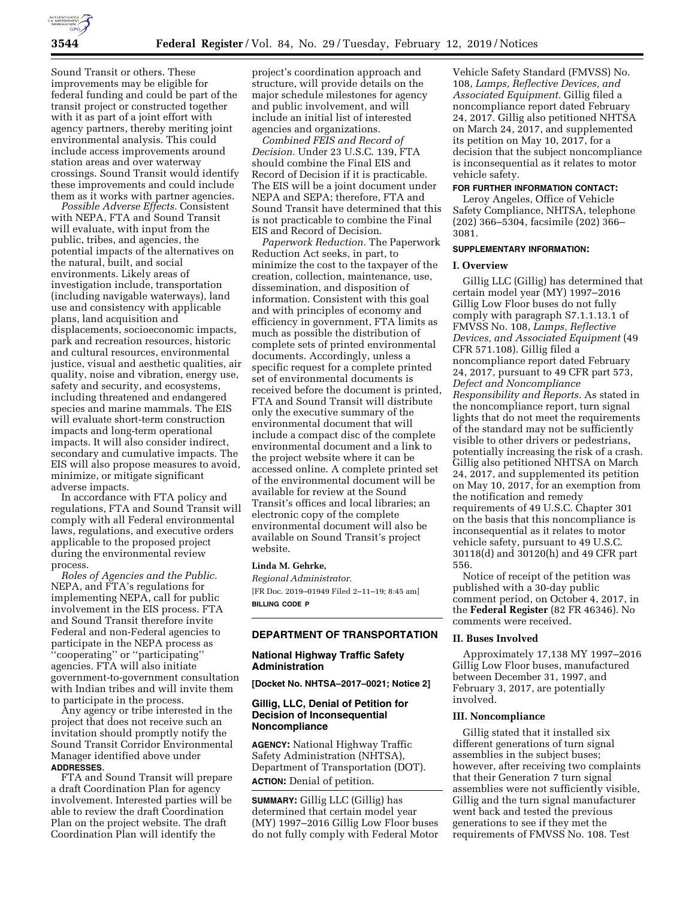

Sound Transit or others. These improvements may be eligible for federal funding and could be part of the transit project or constructed together with it as part of a joint effort with agency partners, thereby meriting joint environmental analysis. This could include access improvements around station areas and over waterway crossings. Sound Transit would identify these improvements and could include them as it works with partner agencies.

*Possible Adverse Effects.* Consistent with NEPA, FTA and Sound Transit will evaluate, with input from the public, tribes, and agencies, the potential impacts of the alternatives on the natural, built, and social environments. Likely areas of investigation include, transportation (including navigable waterways), land use and consistency with applicable plans, land acquisition and displacements, socioeconomic impacts, park and recreation resources, historic and cultural resources, environmental justice, visual and aesthetic qualities, air quality, noise and vibration, energy use, safety and security, and ecosystems, including threatened and endangered species and marine mammals. The EIS will evaluate short-term construction impacts and long-term operational impacts. It will also consider indirect, secondary and cumulative impacts. The EIS will also propose measures to avoid, minimize, or mitigate significant adverse impacts.

In accordance with FTA policy and regulations, FTA and Sound Transit will comply with all Federal environmental laws, regulations, and executive orders applicable to the proposed project during the environmental review process.

*Roles of Agencies and the Public.*  NEPA, and FTA's regulations for implementing NEPA, call for public involvement in the EIS process. FTA and Sound Transit therefore invite Federal and non-Federal agencies to participate in the NEPA process as ''cooperating'' or ''participating'' agencies. FTA will also initiate government-to-government consultation with Indian tribes and will invite them to participate in the process.

Any agency or tribe interested in the project that does not receive such an invitation should promptly notify the Sound Transit Corridor Environmental Manager identified above under **ADDRESSES**.

FTA and Sound Transit will prepare a draft Coordination Plan for agency involvement. Interested parties will be able to review the draft Coordination Plan on the project website. The draft Coordination Plan will identify the

project's coordination approach and structure, will provide details on the major schedule milestones for agency and public involvement, and will include an initial list of interested agencies and organizations.

*Combined FEIS and Record of Decision.* Under 23 U.S.C. 139, FTA should combine the Final EIS and Record of Decision if it is practicable. The EIS will be a joint document under NEPA and SEPA; therefore, FTA and Sound Transit have determined that this is not practicable to combine the Final EIS and Record of Decision.

*Paperwork Reduction.* The Paperwork Reduction Act seeks, in part, to minimize the cost to the taxpayer of the creation, collection, maintenance, use, dissemination, and disposition of information. Consistent with this goal and with principles of economy and efficiency in government, FTA limits as much as possible the distribution of complete sets of printed environmental documents. Accordingly, unless a specific request for a complete printed set of environmental documents is received before the document is printed, FTA and Sound Transit will distribute only the executive summary of the environmental document that will include a compact disc of the complete environmental document and a link to the project website where it can be accessed online. A complete printed set of the environmental document will be available for review at the Sound Transit's offices and local libraries; an electronic copy of the complete environmental document will also be available on Sound Transit's project website.

### **Linda M. Gehrke,**

*Regional Administrator.*  [FR Doc. 2019–01949 Filed 2–11–19; 8:45 am] **BILLING CODE P** 

### **DEPARTMENT OF TRANSPORTATION**

#### **National Highway Traffic Safety Administration**

**[Docket No. NHTSA–2017–0021; Notice 2]** 

### **Gillig, LLC, Denial of Petition for Decision of Inconsequential Noncompliance**

**AGENCY:** National Highway Traffic Safety Administration (NHTSA), Department of Transportation (DOT). **ACTION:** Denial of petition.

**SUMMARY:** Gillig LLC (Gillig) has determined that certain model year (MY) 1997–2016 Gillig Low Floor buses do not fully comply with Federal Motor

Vehicle Safety Standard (FMVSS) No. 108, *Lamps, Reflective Devices, and Associated Equipment.* Gillig filed a noncompliance report dated February 24, 2017. Gillig also petitioned NHTSA on March 24, 2017, and supplemented its petition on May 10, 2017, for a decision that the subject noncompliance is inconsequential as it relates to motor vehicle safety.

### **FOR FURTHER INFORMATION CONTACT:**

Leroy Angeles, Office of Vehicle Safety Compliance, NHTSA, telephone (202) 366–5304, facsimile (202) 366– 3081.

#### **SUPPLEMENTARY INFORMATION:**

#### **I. Overview**

Gillig LLC (Gillig) has determined that certain model year (MY) 1997–2016 Gillig Low Floor buses do not fully comply with paragraph S7.1.1.13.1 of FMVSS No. 108, *Lamps, Reflective Devices, and Associated Equipment* (49 CFR 571.108). Gillig filed a noncompliance report dated February 24, 2017, pursuant to 49 CFR part 573, *Defect and Noncompliance Responsibility and Reports.* As stated in the noncompliance report, turn signal lights that do not meet the requirements of the standard may not be sufficiently visible to other drivers or pedestrians, potentially increasing the risk of a crash. Gillig also petitioned NHTSA on March 24, 2017, and supplemented its petition on May 10, 2017, for an exemption from the notification and remedy requirements of 49 U.S.C. Chapter 301 on the basis that this noncompliance is inconsequential as it relates to motor vehicle safety, pursuant to 49 U.S.C. 30118(d) and 30120(h) and 49 CFR part 556.

Notice of receipt of the petition was published with a 30-day public comment period, on October 4, 2017, in the **Federal Register** (82 FR 46346). No comments were received.

### **II. Buses Involved**

Approximately 17,138 MY 1997–2016 Gillig Low Floor buses, manufactured between December 31, 1997, and February 3, 2017, are potentially involved.

#### **III. Noncompliance**

Gillig stated that it installed six different generations of turn signal assemblies in the subject buses; however, after receiving two complaints that their Generation 7 turn signal assemblies were not sufficiently visible, Gillig and the turn signal manufacturer went back and tested the previous generations to see if they met the requirements of FMVSS No. 108. Test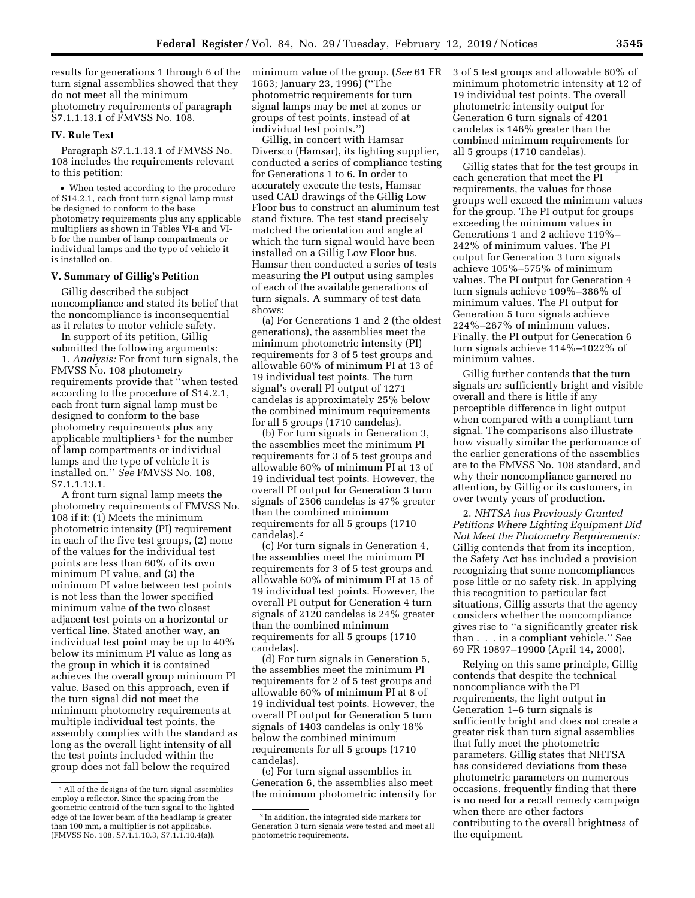results for generations 1 through 6 of the turn signal assemblies showed that they do not meet all the minimum photometry requirements of paragraph S7.1.1.13.1 of FMVSS No. 108.

## **IV. Rule Text**

Paragraph S7.1.1.13.1 of FMVSS No. 108 includes the requirements relevant to this petition:

• When tested according to the procedure of S14.2.1, each front turn signal lamp must be designed to conform to the base photometry requirements plus any applicable multipliers as shown in Tables VI-a and VIb for the number of lamp compartments or individual lamps and the type of vehicle it is installed on.

#### **V. Summary of Gillig's Petition**

Gillig described the subject noncompliance and stated its belief that the noncompliance is inconsequential as it relates to motor vehicle safety.

In support of its petition, Gillig submitted the following arguments:

1. *Analysis:* For front turn signals, the FMVSS No. 108 photometry requirements provide that ''when tested according to the procedure of S14.2.1, each front turn signal lamp must be designed to conform to the base photometry requirements plus any applicable multipliers 1 for the number of lamp compartments or individual lamps and the type of vehicle it is installed on.'' *See* FMVSS No. 108, S7.1.1.13.1.

A front turn signal lamp meets the photometry requirements of FMVSS No. 108 if it: (1) Meets the minimum photometric intensity (PI) requirement in each of the five test groups, (2) none of the values for the individual test points are less than 60% of its own minimum PI value, and (3) the minimum PI value between test points is not less than the lower specified minimum value of the two closest adjacent test points on a horizontal or vertical line. Stated another way, an individual test point may be up to 40% below its minimum PI value as long as the group in which it is contained achieves the overall group minimum PI value. Based on this approach, even if the turn signal did not meet the minimum photometry requirements at multiple individual test points, the assembly complies with the standard as long as the overall light intensity of all the test points included within the group does not fall below the required

minimum value of the group. (*See* 61 FR 1663; January 23, 1996) (''The photometric requirements for turn signal lamps may be met at zones or groups of test points, instead of at individual test points.'')

Gillig, in concert with Hamsar Diversco (Hamsar), its lighting supplier, conducted a series of compliance testing for Generations 1 to 6. In order to accurately execute the tests, Hamsar used CAD drawings of the Gillig Low Floor bus to construct an aluminum test stand fixture. The test stand precisely matched the orientation and angle at which the turn signal would have been installed on a Gillig Low Floor bus. Hamsar then conducted a series of tests measuring the PI output using samples of each of the available generations of turn signals. A summary of test data shows:

(a) For Generations 1 and 2 (the oldest generations), the assemblies meet the minimum photometric intensity (PI) requirements for 3 of 5 test groups and allowable 60% of minimum PI at 13 of 19 individual test points. The turn signal's overall PI output of 1271 candelas is approximately 25% below the combined minimum requirements for all 5 groups (1710 candelas).

(b) For turn signals in Generation 3, the assemblies meet the minimum PI requirements for 3 of 5 test groups and allowable 60% of minimum PI at 13 of 19 individual test points. However, the overall PI output for Generation 3 turn signals of 2506 candelas is 47% greater than the combined minimum requirements for all 5 groups (1710 candelas).2

(c) For turn signals in Generation 4, the assemblies meet the minimum PI requirements for 3 of 5 test groups and allowable 60% of minimum PI at 15 of 19 individual test points. However, the overall PI output for Generation 4 turn signals of 2120 candelas is 24% greater than the combined minimum requirements for all 5 groups (1710 candelas).

(d) For turn signals in Generation 5, the assemblies meet the minimum PI requirements for 2 of 5 test groups and allowable 60% of minimum PI at 8 of 19 individual test points. However, the overall PI output for Generation 5 turn signals of 1403 candelas is only 18% below the combined minimum requirements for all 5 groups (1710 candelas).

(e) For turn signal assemblies in Generation 6, the assemblies also meet the minimum photometric intensity for 3 of 5 test groups and allowable 60% of minimum photometric intensity at 12 of 19 individual test points. The overall photometric intensity output for Generation 6 turn signals of 4201 candelas is 146% greater than the combined minimum requirements for all 5 groups (1710 candelas).

Gillig states that for the test groups in each generation that meet the PI requirements, the values for those groups well exceed the minimum values for the group. The PI output for groups exceeding the minimum values in Generations 1 and 2 achieve 119%– 242% of minimum values. The PI output for Generation 3 turn signals achieve 105%–575% of minimum values. The PI output for Generation 4 turn signals achieve 109%–386% of minimum values. The PI output for Generation 5 turn signals achieve 224%–267% of minimum values. Finally, the PI output for Generation 6 turn signals achieve 114%–1022% of minimum values.

Gillig further contends that the turn signals are sufficiently bright and visible overall and there is little if any perceptible difference in light output when compared with a compliant turn signal. The comparisons also illustrate how visually similar the performance of the earlier generations of the assemblies are to the FMVSS No. 108 standard, and why their noncompliance garnered no attention, by Gillig or its customers, in over twenty years of production.

2. *NHTSA has Previously Granted Petitions Where Lighting Equipment Did Not Meet the Photometry Requirements:*  Gillig contends that from its inception, the Safety Act has included a provision recognizing that some noncompliances pose little or no safety risk. In applying this recognition to particular fact situations, Gillig asserts that the agency considers whether the noncompliance gives rise to ''a significantly greater risk than . . . in a compliant vehicle.'' See 69 FR 19897–19900 (April 14, 2000).

Relying on this same principle, Gillig contends that despite the technical noncompliance with the PI requirements, the light output in Generation 1–6 turn signals is sufficiently bright and does not create a greater risk than turn signal assemblies that fully meet the photometric parameters. Gillig states that NHTSA has considered deviations from these photometric parameters on numerous occasions, frequently finding that there is no need for a recall remedy campaign when there are other factors contributing to the overall brightness of the equipment.

<sup>&</sup>lt;sup>1</sup> All of the designs of the turn signal assemblies employ a reflector. Since the spacing from the geometric centroid of the turn signal to the lighted edge of the lower beam of the headlamp is greater than 100 mm, a multiplier is not applicable. (FMVSS No. 108, S7.1.1.10.3, S7.1.1.10.4(a)).

<sup>2</sup> In addition, the integrated side markers for Generation 3 turn signals were tested and meet all photometric requirements.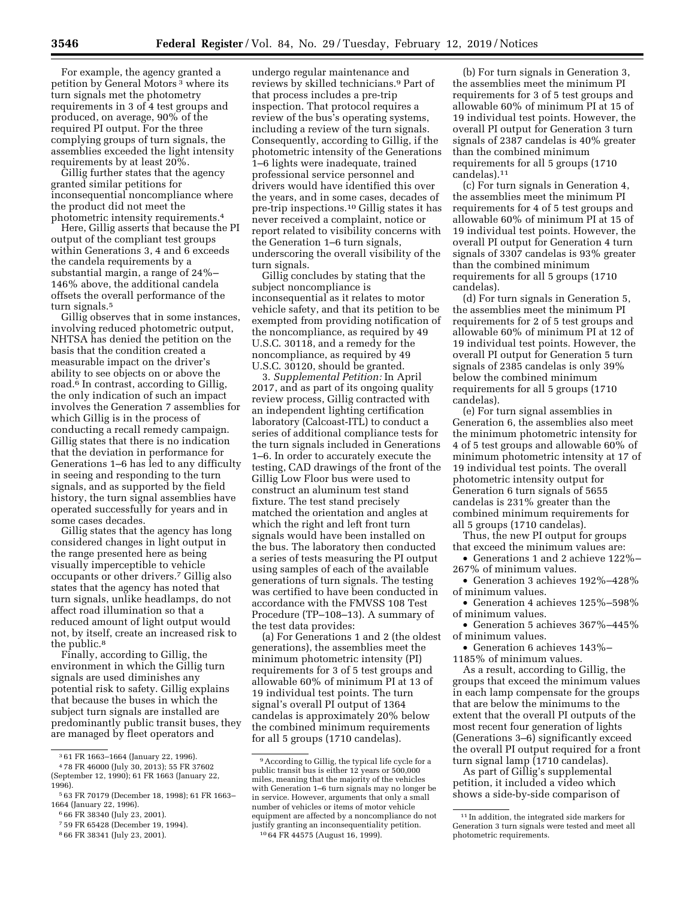For example, the agency granted a petition by General Motors 3 where its turn signals met the photometry requirements in 3 of 4 test groups and produced, on average, 90% of the required PI output. For the three complying groups of turn signals, the assemblies exceeded the light intensity requirements by at least 20%.

Gillig further states that the agency granted similar petitions for inconsequential noncompliance where the product did not meet the photometric intensity requirements.4

Here, Gillig asserts that because the PI output of the compliant test groups within Generations 3, 4 and 6 exceeds the candela requirements by a substantial margin, a range of 24%– 146% above, the additional candela offsets the overall performance of the turn signals.5

Gillig observes that in some instances, involving reduced photometric output, NHTSA has denied the petition on the basis that the condition created a measurable impact on the driver's ability to see objects on or above the road.6 In contrast, according to Gillig, the only indication of such an impact involves the Generation 7 assemblies for which Gillig is in the process of conducting a recall remedy campaign. Gillig states that there is no indication that the deviation in performance for Generations 1–6 has led to any difficulty in seeing and responding to the turn signals, and as supported by the field history, the turn signal assemblies have operated successfully for years and in some cases decades.

Gillig states that the agency has long considered changes in light output in the range presented here as being visually imperceptible to vehicle occupants or other drivers.7 Gillig also states that the agency has noted that turn signals, unlike headlamps, do not affect road illumination so that a reduced amount of light output would not, by itself, create an increased risk to the public.<sup>8</sup>

Finally, according to Gillig, the environment in which the Gillig turn signals are used diminishes any potential risk to safety. Gillig explains that because the buses in which the subject turn signals are installed are predominantly public transit buses, they are managed by fleet operators and

8 66 FR 38341 (July 23, 2001).

undergo regular maintenance and reviews by skilled technicians.9 Part of that process includes a pre-trip inspection. That protocol requires a review of the bus's operating systems, including a review of the turn signals. Consequently, according to Gillig, if the photometric intensity of the Generations 1–6 lights were inadequate, trained professional service personnel and drivers would have identified this over the years, and in some cases, decades of pre-trip inspections.10 Gillig states it has never received a complaint, notice or report related to visibility concerns with the Generation 1–6 turn signals, underscoring the overall visibility of the turn signals.

Gillig concludes by stating that the subject noncompliance is inconsequential as it relates to motor vehicle safety, and that its petition to be exempted from providing notification of the noncompliance, as required by 49 U.S.C. 30118, and a remedy for the noncompliance, as required by 49 U.S.C. 30120, should be granted.

3. *Supplemental Petition:* In April 2017, and as part of its ongoing quality review process, Gillig contracted with an independent lighting certification laboratory (Calcoast-ITL) to conduct a series of additional compliance tests for the turn signals included in Generations 1–6. In order to accurately execute the testing, CAD drawings of the front of the Gillig Low Floor bus were used to construct an aluminum test stand fixture. The test stand precisely matched the orientation and angles at which the right and left front turn signals would have been installed on the bus. The laboratory then conducted a series of tests measuring the PI output using samples of each of the available generations of turn signals. The testing was certified to have been conducted in accordance with the FMVSS 108 Test Procedure (TP–108–13). A summary of the test data provides:

(a) For Generations 1 and 2 (the oldest generations), the assemblies meet the minimum photometric intensity (PI) requirements for 3 of 5 test groups and allowable 60% of minimum PI at 13 of 19 individual test points. The turn signal's overall PI output of 1364 candelas is approximately 20% below the combined minimum requirements for all 5 groups (1710 candelas).

(b) For turn signals in Generation 3, the assemblies meet the minimum PI requirements for 3 of 5 test groups and allowable 60% of minimum PI at 15 of 19 individual test points. However, the overall PI output for Generation 3 turn signals of 2387 candelas is 40% greater than the combined minimum requirements for all 5 groups (1710 candelas).11

(c) For turn signals in Generation 4, the assemblies meet the minimum PI requirements for 4 of 5 test groups and allowable 60% of minimum PI at 15 of 19 individual test points. However, the overall PI output for Generation 4 turn signals of 3307 candelas is 93% greater than the combined minimum requirements for all 5 groups (1710 candelas).

(d) For turn signals in Generation 5, the assemblies meet the minimum PI requirements for 2 of 5 test groups and allowable 60% of minimum PI at 12 of 19 individual test points. However, the overall PI output for Generation 5 turn signals of 2385 candelas is only 39% below the combined minimum requirements for all 5 groups (1710 candelas).

(e) For turn signal assemblies in Generation 6, the assemblies also meet the minimum photometric intensity for 4 of 5 test groups and allowable 60% of minimum photometric intensity at 17 of 19 individual test points. The overall photometric intensity output for Generation 6 turn signals of 5655 candelas is 231% greater than the combined minimum requirements for all 5 groups (1710 candelas).

Thus, the new PI output for groups that exceed the minimum values are:

• Generations 1 and 2 achieve 122%– 267% of minimum values.

• Generation 3 achieves 192%–428% of minimum values.

• Generation 4 achieves 125%–598% of minimum values.

• Generation 5 achieves 367%–445% of minimum values.

• Generation 6 achieves 143%– 1185% of minimum values.

As a result, according to Gillig, the groups that exceed the minimum values in each lamp compensate for the groups that are below the minimums to the extent that the overall PI outputs of the most recent four generation of lights (Generations 3–6) significantly exceed the overall PI output required for a front turn signal lamp (1710 candelas).

As part of Gillig's supplemental petition, it included a video which shows a side-by-side comparison of

<sup>3</sup> 61 FR 1663–1664 (January 22, 1996).

<sup>4</sup> 78 FR 46000 (July 30, 2013); 55 FR 37602 (September 12, 1990); 61 FR 1663 (January 22, 1996).

<sup>5</sup> 63 FR 70179 (December 18, 1998); 61 FR 1663– 1664 (January 22, 1996).

<sup>6</sup> 66 FR 38340 (July 23, 2001).

<sup>7</sup> 59 FR 65428 (December 19, 1994).

<sup>&</sup>lt;sup>9</sup> According to Gillig, the typical life cycle for a public transit bus is either 12 years or 500,000 miles, meaning that the majority of the vehicles with Generation 1–6 turn signals may no longer be in service. However, arguments that only a small number of vehicles or items of motor vehicle equipment are affected by a noncompliance do not justify granting an inconsequentiality petition. 10 64 FR 44575 (August 16, 1999).

<sup>11</sup> In addition, the integrated side markers for Generation 3 turn signals were tested and meet all photometric requirements.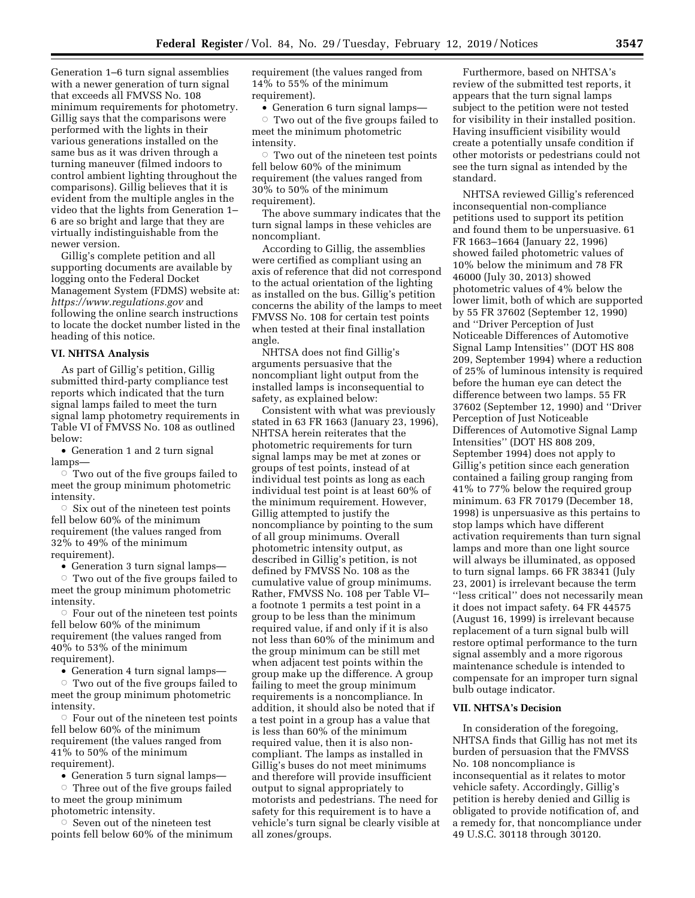Generation 1–6 turn signal assemblies with a newer generation of turn signal that exceeds all FMVSS No. 108 minimum requirements for photometry. Gillig says that the comparisons were performed with the lights in their various generations installed on the same bus as it was driven through a turning maneuver (filmed indoors to control ambient lighting throughout the comparisons). Gillig believes that it is evident from the multiple angles in the video that the lights from Generation 1– 6 are so bright and large that they are virtually indistinguishable from the newer version.

Gillig's complete petition and all supporting documents are available by logging onto the Federal Docket Management System (FDMS) website at: *<https://www.regulations.gov>* and following the online search instructions to locate the docket number listed in the heading of this notice.

### **VI. NHTSA Analysis**

As part of Gillig's petition, Gillig submitted third-party compliance test reports which indicated that the turn signal lamps failed to meet the turn signal lamp photometry requirements in Table VI of FMVSS No. 108 as outlined below:

• Generation 1 and 2 turn signal lamps—

 $\circ$  Two out of the five groups failed to meet the group minimum photometric intensity.

 $\circ$  Six out of the nineteen test points fell below 60% of the minimum requirement (the values ranged from 32% to 49% of the minimum requirement).

• Generation 3 turn signal lamps—

Two out of the five groups failed to meet the group minimum photometric intensity.

 $\circ$  Four out of the nineteen test points fell below 60% of the minimum requirement (the values ranged from 40% to 53% of the minimum requirement).

• Generation 4 turn signal lamps—

 $\circ$  Two out of the five groups failed to meet the group minimum photometric intensity.

 $\circ$  Four out of the nineteen test points fell below 60% of the minimum requirement (the values ranged from 41% to 50% of the minimum requirement).

• Generation 5 turn signal lamps—

 $\circ$  Three out of the five groups failed to meet the group minimum photometric intensity.

 $\circ$  Seven out of the nineteen test points fell below 60% of the minimum requirement (the values ranged from 14% to 55% of the minimum requirement).

• Generation 6 turn signal lamps—

 $\circ$  Two out of the five groups failed to meet the minimum photometric intensity.

 $\circ$  Two out of the nineteen test points fell below 60% of the minimum requirement (the values ranged from 30% to 50% of the minimum requirement).

The above summary indicates that the turn signal lamps in these vehicles are noncompliant.

According to Gillig, the assemblies were certified as compliant using an axis of reference that did not correspond to the actual orientation of the lighting as installed on the bus. Gillig's petition concerns the ability of the lamps to meet FMVSS No. 108 for certain test points when tested at their final installation angle.

NHTSA does not find Gillig's arguments persuasive that the noncompliant light output from the installed lamps is inconsequential to safety, as explained below:

Consistent with what was previously stated in 63 FR 1663 (January 23, 1996), NHTSA herein reiterates that the photometric requirements for turn signal lamps may be met at zones or groups of test points, instead of at individual test points as long as each individual test point is at least 60% of the minimum requirement. However, Gillig attempted to justify the noncompliance by pointing to the sum of all group minimums. Overall photometric intensity output, as described in Gillig's petition, is not defined by FMVSS No. 108 as the cumulative value of group minimums. Rather, FMVSS No. 108 per Table VI– a footnote 1 permits a test point in a group to be less than the minimum required value, if and only if it is also not less than 60% of the minimum and the group minimum can be still met when adjacent test points within the group make up the difference. A group failing to meet the group minimum requirements is a noncompliance. In addition, it should also be noted that if a test point in a group has a value that is less than 60% of the minimum required value, then it is also noncompliant. The lamps as installed in Gillig's buses do not meet minimums and therefore will provide insufficient output to signal appropriately to motorists and pedestrians. The need for safety for this requirement is to have a vehicle's turn signal be clearly visible at all zones/groups.

Furthermore, based on NHTSA's review of the submitted test reports, it appears that the turn signal lamps subject to the petition were not tested for visibility in their installed position. Having insufficient visibility would create a potentially unsafe condition if other motorists or pedestrians could not see the turn signal as intended by the standard.

NHTSA reviewed Gillig's referenced inconsequential non-compliance petitions used to support its petition and found them to be unpersuasive. 61 FR 1663–1664 (January 22, 1996) showed failed photometric values of 10% below the minimum and 78 FR 46000 (July 30, 2013) showed photometric values of 4% below the lower limit, both of which are supported by 55 FR 37602 (September 12, 1990) and ''Driver Perception of Just Noticeable Differences of Automotive Signal Lamp Intensities'' (DOT HS 808 209, September 1994) where a reduction of 25% of luminous intensity is required before the human eye can detect the difference between two lamps. 55 FR 37602 (September 12, 1990) and ''Driver Perception of Just Noticeable Differences of Automotive Signal Lamp Intensities'' (DOT HS 808 209, September 1994) does not apply to Gillig's petition since each generation contained a failing group ranging from 41% to 77% below the required group minimum. 63 FR 70179 (December 18, 1998) is unpersuasive as this pertains to stop lamps which have different activation requirements than turn signal lamps and more than one light source will always be illuminated, as opposed to turn signal lamps. 66 FR 38341 (July 23, 2001) is irrelevant because the term ''less critical'' does not necessarily mean it does not impact safety. 64 FR 44575 (August 16, 1999) is irrelevant because replacement of a turn signal bulb will restore optimal performance to the turn signal assembly and a more rigorous maintenance schedule is intended to compensate for an improper turn signal bulb outage indicator.

### **VII. NHTSA's Decision**

In consideration of the foregoing, NHTSA finds that Gillig has not met its burden of persuasion that the FMVSS No. 108 noncompliance is inconsequential as it relates to motor vehicle safety. Accordingly, Gillig's petition is hereby denied and Gillig is obligated to provide notification of, and a remedy for, that noncompliance under 49 U.S.C. 30118 through 30120.